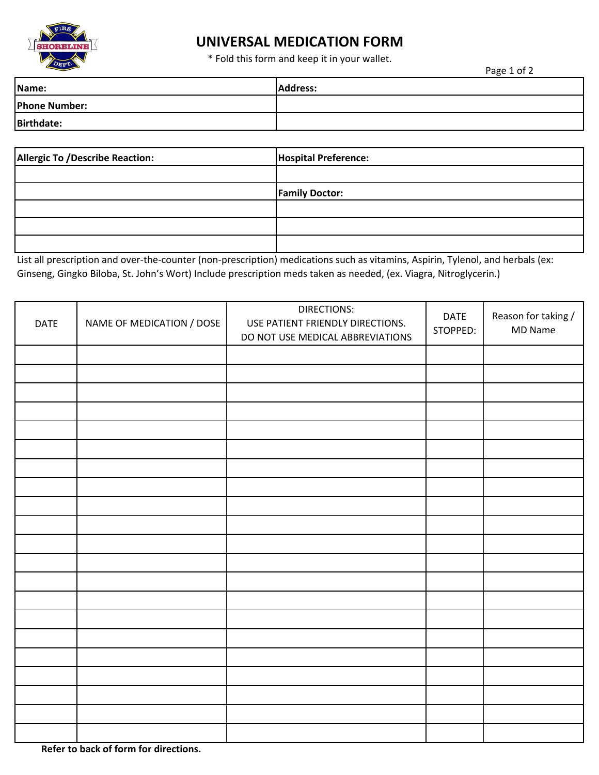

# **UNIVERSAL MEDICATION FORM**

\* Fold this form and keep it in your wallet.

Page 1 of 2

| Name:                | <b>Address:</b> |
|----------------------|-----------------|
| <b>Phone Number:</b> |                 |
| <b>Birthdate:</b>    |                 |

| <b>Allergic To /Describe Reaction:</b> | <b>Hospital Preference:</b> |
|----------------------------------------|-----------------------------|
|                                        |                             |
|                                        | <b>Family Doctor:</b>       |
|                                        |                             |
|                                        |                             |
|                                        |                             |

List all prescription and over-the-counter (non-prescription) medications such as vitamins, Aspirin, Tylenol, and herbals (ex: Ginseng, Gingko Biloba, St. John's Wort) Include prescription meds taken as needed, (ex. Viagra, Nitroglycerin.)

| <b>DATE</b> | NAME OF MEDICATION / DOSE | DIRECTIONS:<br>USE PATIENT FRIENDLY DIRECTIONS.<br>DO NOT USE MEDICAL ABBREVIATIONS | <b>DATE</b><br>STOPPED: | Reason for taking /<br>MD Name |
|-------------|---------------------------|-------------------------------------------------------------------------------------|-------------------------|--------------------------------|
|             |                           |                                                                                     |                         |                                |
|             |                           |                                                                                     |                         |                                |
|             |                           |                                                                                     |                         |                                |
|             |                           |                                                                                     |                         |                                |
|             |                           |                                                                                     |                         |                                |
|             |                           |                                                                                     |                         |                                |
|             |                           |                                                                                     |                         |                                |
|             |                           |                                                                                     |                         |                                |
|             |                           |                                                                                     |                         |                                |
|             |                           |                                                                                     |                         |                                |
|             |                           |                                                                                     |                         |                                |
|             |                           |                                                                                     |                         |                                |
|             |                           |                                                                                     |                         |                                |
|             |                           |                                                                                     |                         |                                |
|             |                           |                                                                                     |                         |                                |
|             |                           |                                                                                     |                         |                                |
|             |                           |                                                                                     |                         |                                |
|             |                           |                                                                                     |                         |                                |
|             |                           |                                                                                     |                         |                                |
|             |                           |                                                                                     |                         |                                |
|             |                           |                                                                                     |                         |                                |

 **Refer to back of form for directions.**